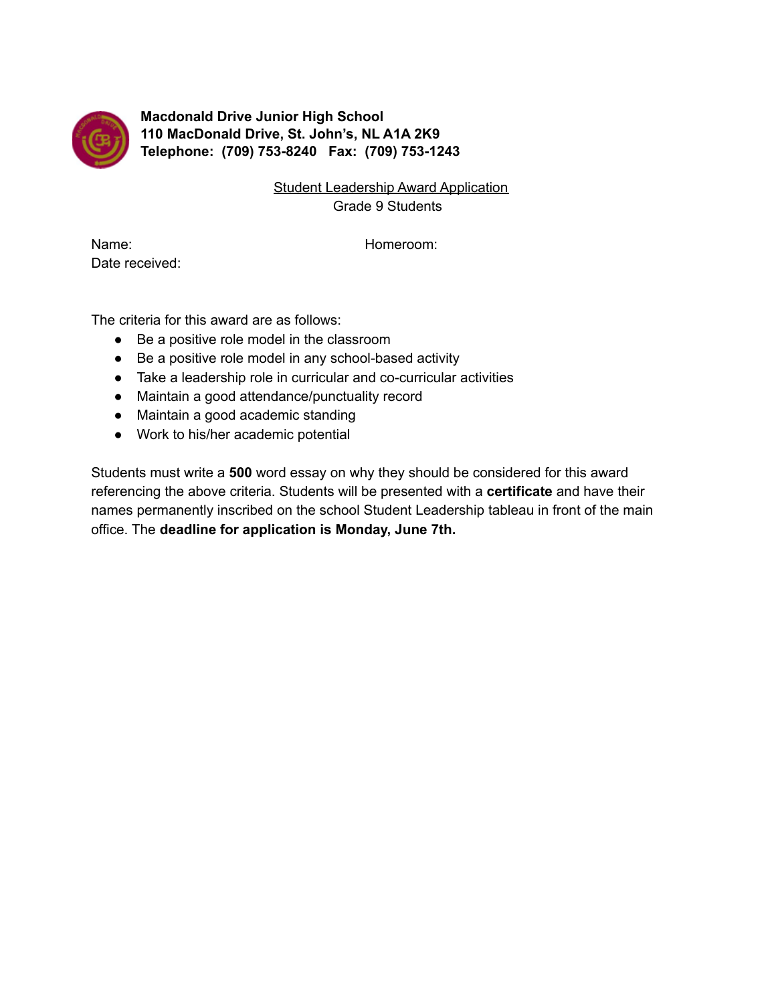

**Macdonald Drive Junior High School 110 MacDonald Drive, St. John's, NL A1A 2K9 Telephone: (709) 753-8240 Fax: (709) 753-1243**

> Student Leadership Award Application Grade 9 Students

Name: Name: Name: Name: Name: Name: Name: Name: Name: Name: Name: Name: Name: Name: Name: Name: Name: Name: Name: Name: Name: Name: Name: Name: Name: Name: Name: Name: Name: Name: Name: Name: Name: Name: Name: Name: Name: Date received:

The criteria for this award are as follows:

- Be a positive role model in the classroom
- Be a positive role model in any school-based activity
- Take a leadership role in curricular and co-curricular activities
- Maintain a good attendance/punctuality record
- Maintain a good academic standing
- Work to his/her academic potential

Students must write a **500** word essay on why they should be considered for this award referencing the above criteria. Students will be presented with a **certificate** and have their names permanently inscribed on the school Student Leadership tableau in front of the main office. The **deadline for application is Monday, June 7th.**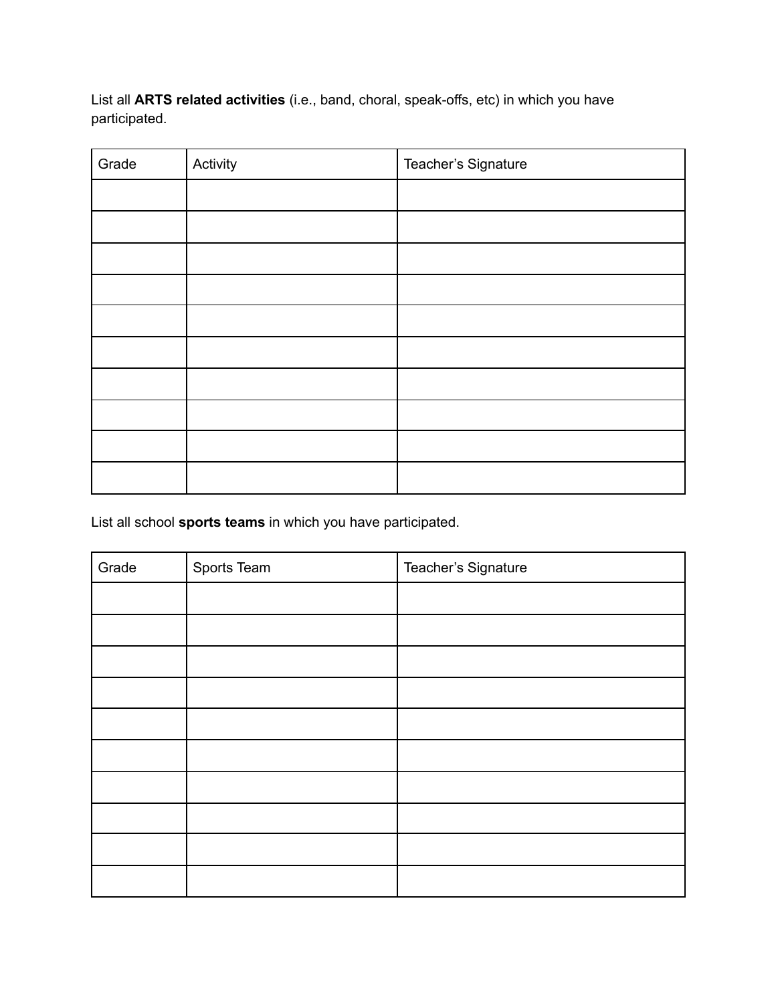List all **ARTS related activities** (i.e., band, choral, speak-offs, etc) in which you have participated.

| Grade | Activity | Teacher's Signature |
|-------|----------|---------------------|
|       |          |                     |
|       |          |                     |
|       |          |                     |
|       |          |                     |
|       |          |                     |
|       |          |                     |
|       |          |                     |
|       |          |                     |
|       |          |                     |
|       |          |                     |

List all school **sports teams** in which you have participated.

| Grade | Sports Team | Teacher's Signature |
|-------|-------------|---------------------|
|       |             |                     |
|       |             |                     |
|       |             |                     |
|       |             |                     |
|       |             |                     |
|       |             |                     |
|       |             |                     |
|       |             |                     |
|       |             |                     |
|       |             |                     |